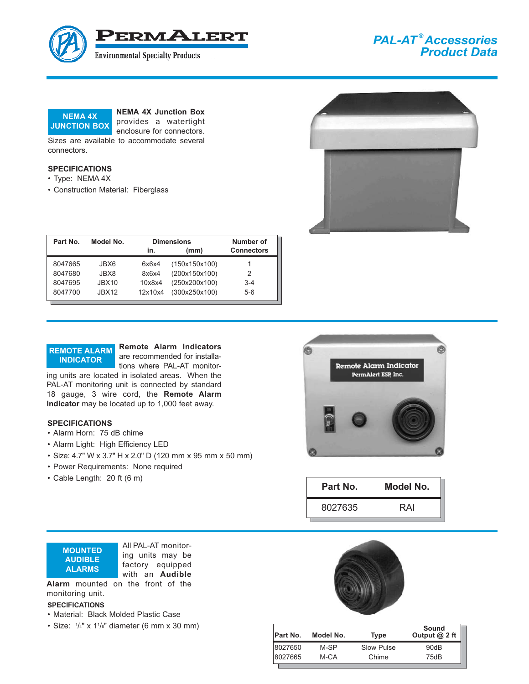

# *PAL-AT ® Accessories Product Data*



**NEMA 4X Junction Box** provides a watertight

enclosure for connectors.

Sizes are available to accommodate several connectors.

#### **SPECIFICATIONS**

• Type: NEMA 4X

**REMOTE ALARM INDICATOR**

**SPECIFICATIONS**

• Alarm Horn: 75 dB chime • Alarm Light: High Efficiency LED

• Cable Length: 20 ft (6 m)

• Power Requirements: None required

• Construction Material: Fiberglass



| Part No. | Model No.         | <b>Dimensions</b> |               | Number of         |
|----------|-------------------|-------------------|---------------|-------------------|
|          |                   | in.               | (mm)          | <b>Connectors</b> |
| 8047665  | JBX6              | 6x6x4             | (150x150x100) |                   |
| 8047680  | JBX8.             | 8x6x4             | (200x150x100) | 2                 |
| 8047695  | JBX <sub>10</sub> | 10x8x4            | (250x200x100) | $3 - 4$           |
| 8047700  | <b>JBX12</b>      | 12x10x4           | (300x250x100) | $5-6$             |

**Remote Alarm Indicators** are recommended for installations where PAL-AT monitor-

ing units are located in isolated areas. When the PAL-AT monitoring unit is connected by standard 18 gauge, 3 wire cord, the **Remote Alarm Indicator** may be located up to 1,000 feet away.





| Part No. | Model No. |
|----------|-----------|
| 8027635  | RAI       |

**MOUNTED AUDIBLE ALARMS**

All PAL-AT monitoring units may be factory equipped with an **Audible**

• Size: 4.7" W x 3.7" H x 2.0" D (120 mm x 95 mm x 50 mm)

**Alarm** mounted on the front of the monitoring unit.

#### **SPECIFICATIONS**

- Material: Black Molded Plastic Case
- Size:  $\frac{1}{4}$ " x 1 $\frac{1}{8}$ " diameter (6 mm x 30 mm)



| Part No. | Model No. | Type       | Sound<br>Output $@$ 2 ft |
|----------|-----------|------------|--------------------------|
| 8027650  | M-SP      | Slow Pulse | 90dB                     |
| 8027665  | M-CA      | Chime      | 75dB                     |
|          |           |            |                          |